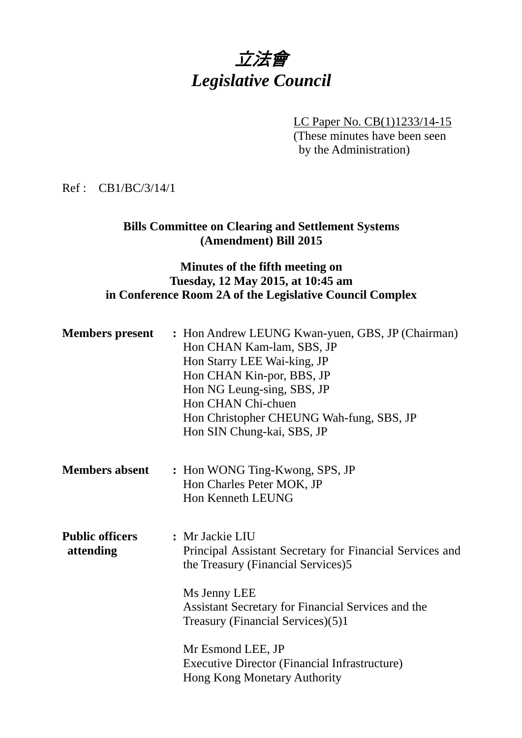# 立法會 *Legislative Council*

LC Paper No. CB(1)1233/14-15

(These minutes have been seen by the Administration)

### Ref : CB1/BC/3/14/1

#### **Bills Committee on Clearing and Settlement Systems (Amendment) Bill 2015**

### **Minutes of the fifth meeting on Tuesday, 12 May 2015, at 10:45 am in Conference Room 2A of the Legislative Council Complex**

| <b>Members</b> present              | : Hon Andrew LEUNG Kwan-yuen, GBS, JP (Chairman)<br>Hon CHAN Kam-lam, SBS, JP<br>Hon Starry LEE Wai-king, JP<br>Hon CHAN Kin-por, BBS, JP<br>Hon NG Leung-sing, SBS, JP<br>Hon CHAN Chi-chuen<br>Hon Christopher CHEUNG Wah-fung, SBS, JP<br>Hon SIN Chung-kai, SBS, JP                                   |
|-------------------------------------|-----------------------------------------------------------------------------------------------------------------------------------------------------------------------------------------------------------------------------------------------------------------------------------------------------------|
| <b>Members absent</b>               | : Hon WONG Ting-Kwong, SPS, JP<br>Hon Charles Peter MOK, JP<br>Hon Kenneth LEUNG                                                                                                                                                                                                                          |
| <b>Public officers</b><br>attending | : Mr Jackie LIU<br>Principal Assistant Secretary for Financial Services and<br>the Treasury (Financial Services)5<br>Ms Jenny LEE<br>Assistant Secretary for Financial Services and the<br>Treasury (Financial Services)(5)1<br>Mr Esmond LEE, JP<br><b>Executive Director (Financial Infrastructure)</b> |
|                                     | Hong Kong Monetary Authority                                                                                                                                                                                                                                                                              |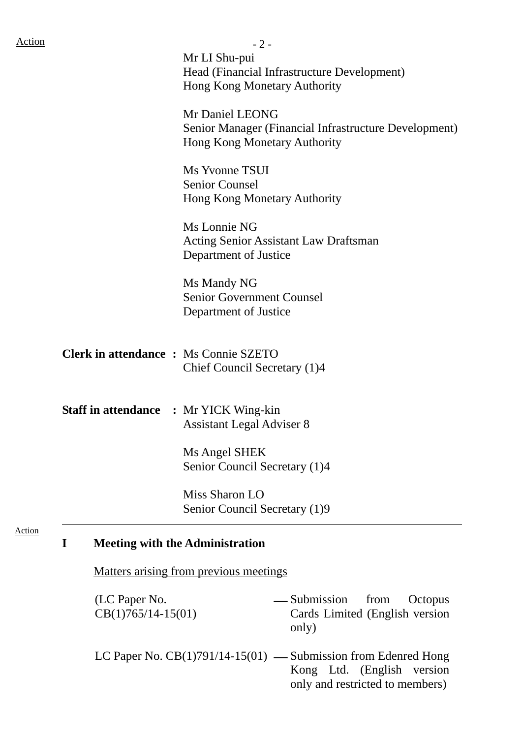| $-2-$                                                                       |
|-----------------------------------------------------------------------------|
| Mr LI Shu-pui                                                               |
| Head (Financial Infrastructure Development)<br>Hong Kong Monetary Authority |
|                                                                             |
| Mr Daniel LEONG                                                             |
| Senior Manager (Financial Infrastructure Development)                       |
| Hong Kong Monetary Authority                                                |
| Ms Yvonne TSUI                                                              |
| <b>Senior Counsel</b>                                                       |
| Hong Kong Monetary Authority                                                |
| Ms Lonnie NG                                                                |
| <b>Acting Senior Assistant Law Draftsman</b>                                |
| Department of Justice                                                       |
| Ms Mandy NG                                                                 |
| <b>Senior Government Counsel</b>                                            |
| Department of Justice                                                       |
|                                                                             |
| <b>Clerk in attendance : Ms Connie SZETO</b>                                |
| Chief Council Secretary (1)4                                                |
| <b>Staff in attendance : Mr YICK Wing-kin</b>                               |
| <b>Assistant Legal Adviser 8</b>                                            |
|                                                                             |
| Ms Angel SHEK                                                               |
| Senior Council Secretary (1)4                                               |
| Miss Sharon LO                                                              |
| Senior Council Secretary (1)9                                               |

Matters arising from previous meetings

(LC Paper No. CB(1)765/14-15(01)

- -Submission from Octopus Cards Limited (English version only)
- LC Paper No.  $CB(1)791/14-15(01)$  Submission from Edenred Hong Kong Ltd. (English version only and restricted to members)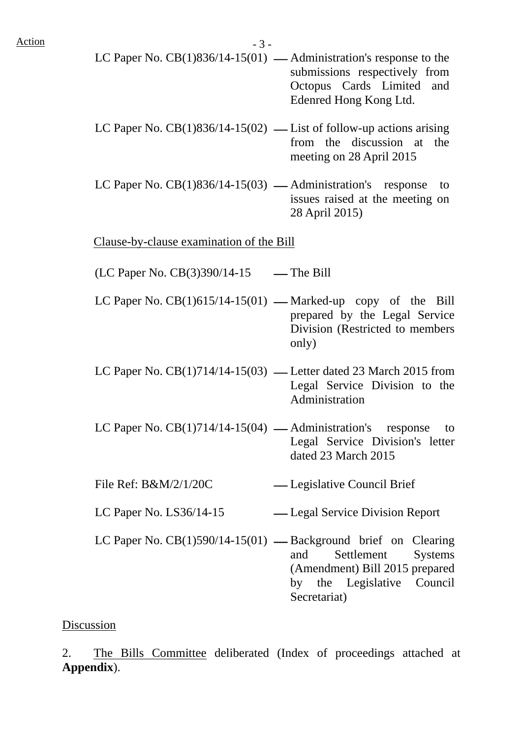| Action | $-5$ |
|--------|------|
|--------|------|

- LC Paper No.  $CB(1)836/14-15(01)$  Administration's response to the submissions respectively from Octopus Cards Limited and Edenred Hong Kong Ltd.
- LC Paper No.  $CB(1)836/14-15(02)$  List of follow-up actions arising from the discussion at the meeting on 28 April 2015
- LC Paper No.  $CB(1)836/14-15(03)$  Administration's response to issues raised at the meeting on 28 April 2015)

Clause-by-clause examination of the Bill

- $(LC$  Paper No.  $CB(3)390/14-15$  The Bill
- LC Paper No.  $CB(1)615/14-15(01)$  Marked-up copy of the Bill prepared by the Legal Service Division (Restricted to members only)
- LC Paper No.  $CB(1)714/14-15(03)$  Letter dated 23 March 2015 from Legal Service Division to the Administration
- LC Paper No.  $CB(1)714/14-15(04)$  Administration's response to Legal Service Division's letter dated 23 March 2015
- File Ref: B&M/2/1/20C Legislative Council Brief
- LC Paper No. LS36/14-15 ⎯ Legal Service Division Report
- LC Paper No.  $CB(1)590/14-15(01)$  Background brief on Clearing and Settlement Systems (Amendment) Bill 2015 prepared by the Legislative Council Secretariat)

### Discussion

2. The Bills Committee deliberated (Index of proceedings attached at **Appendix**).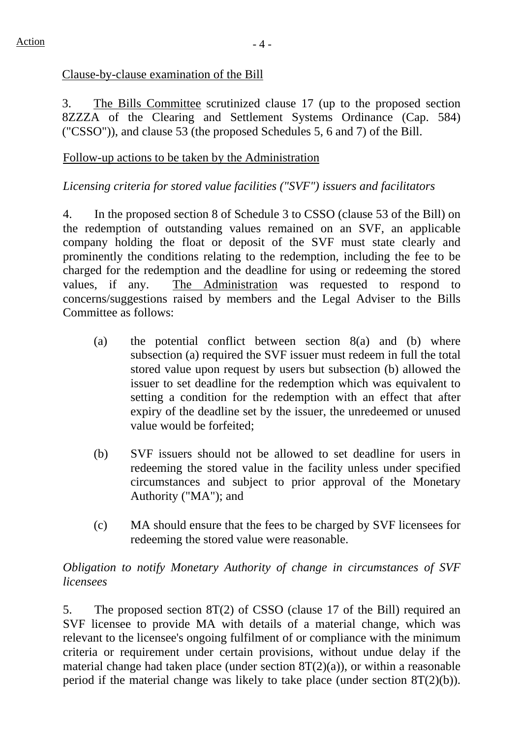### Clause-by-clause examination of the Bill

3. The Bills Committee scrutinized clause 17 (up to the proposed section 8ZZZA of the Clearing and Settlement Systems Ordinance (Cap. 584) ("CSSO")), and clause 53 (the proposed Schedules 5, 6 and 7) of the Bill.

### Follow-up actions to be taken by the Administration

### *Licensing criteria for stored value facilities ("SVF") issuers and facilitators*

4. In the proposed section 8 of Schedule 3 to CSSO (clause 53 of the Bill) on the redemption of outstanding values remained on an SVF, an applicable company holding the float or deposit of the SVF must state clearly and prominently the conditions relating to the redemption, including the fee to be charged for the redemption and the deadline for using or redeeming the stored values, if any. The Administration was requested to respond to concerns/suggestions raised by members and the Legal Adviser to the Bills Committee as follows:

- (a) the potential conflict between section 8(a) and (b) where subsection (a) required the SVF issuer must redeem in full the total stored value upon request by users but subsection (b) allowed the issuer to set deadline for the redemption which was equivalent to setting a condition for the redemption with an effect that after expiry of the deadline set by the issuer, the unredeemed or unused value would be forfeited;
- (b) SVF issuers should not be allowed to set deadline for users in redeeming the stored value in the facility unless under specified circumstances and subject to prior approval of the Monetary Authority ("MA"); and
- (c) MA should ensure that the fees to be charged by SVF licensees for redeeming the stored value were reasonable.

### *Obligation to notify Monetary Authority of change in circumstances of SVF licensees*

5. The proposed section 8T(2) of CSSO (clause 17 of the Bill) required an SVF licensee to provide MA with details of a material change, which was relevant to the licensee's ongoing fulfilment of or compliance with the minimum criteria or requirement under certain provisions, without undue delay if the material change had taken place (under section 8T(2)(a)), or within a reasonable period if the material change was likely to take place (under section  $8T(2)(b)$ ).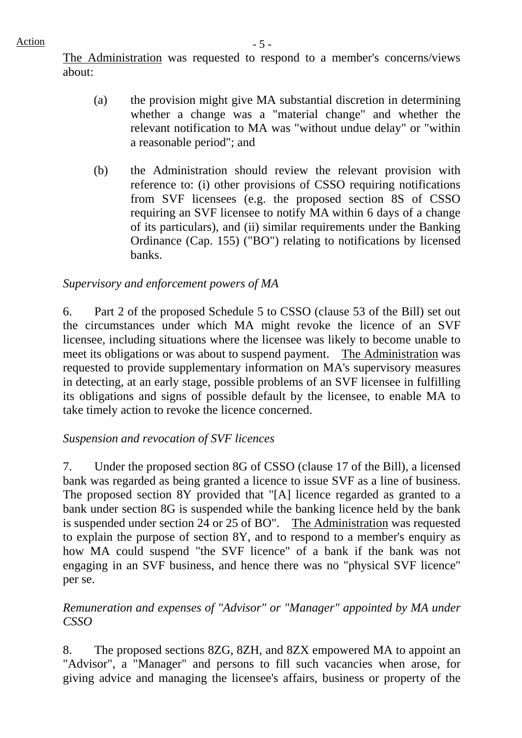$Action$   $-5$  -

The Administration was requested to respond to a member's concerns/views about:

- (a) the provision might give MA substantial discretion in determining whether a change was a "material change" and whether the relevant notification to MA was "without undue delay" or "within a reasonable period"; and
- (b) the Administration should review the relevant provision with reference to: (i) other provisions of CSSO requiring notifications from SVF licensees (e.g. the proposed section 8S of CSSO requiring an SVF licensee to notify MA within 6 days of a change of its particulars), and (ii) similar requirements under the Banking Ordinance (Cap. 155) ("BO") relating to notifications by licensed banks.

### *Supervisory and enforcement powers of MA*

6. Part 2 of the proposed Schedule 5 to CSSO (clause 53 of the Bill) set out the circumstances under which MA might revoke the licence of an SVF licensee, including situations where the licensee was likely to become unable to meet its obligations or was about to suspend payment. The Administration was requested to provide supplementary information on MA's supervisory measures in detecting, at an early stage, possible problems of an SVF licensee in fulfilling its obligations and signs of possible default by the licensee, to enable MA to take timely action to revoke the licence concerned.

### *Suspension and revocation of SVF licences*

7. Under the proposed section 8G of CSSO (clause 17 of the Bill), a licensed bank was regarded as being granted a licence to issue SVF as a line of business. The proposed section 8Y provided that "[A] licence regarded as granted to a bank under section 8G is suspended while the banking licence held by the bank is suspended under section 24 or 25 of BO". The Administration was requested to explain the purpose of section 8Y, and to respond to a member's enquiry as how MA could suspend "the SVF licence" of a bank if the bank was not engaging in an SVF business, and hence there was no "physical SVF licence" per se.

### *Remuneration and expenses of "Advisor" or "Manager" appointed by MA under CSSO*

8. The proposed sections 8ZG, 8ZH, and 8ZX empowered MA to appoint an "Advisor", a "Manager" and persons to fill such vacancies when arose, for giving advice and managing the licensee's affairs, business or property of the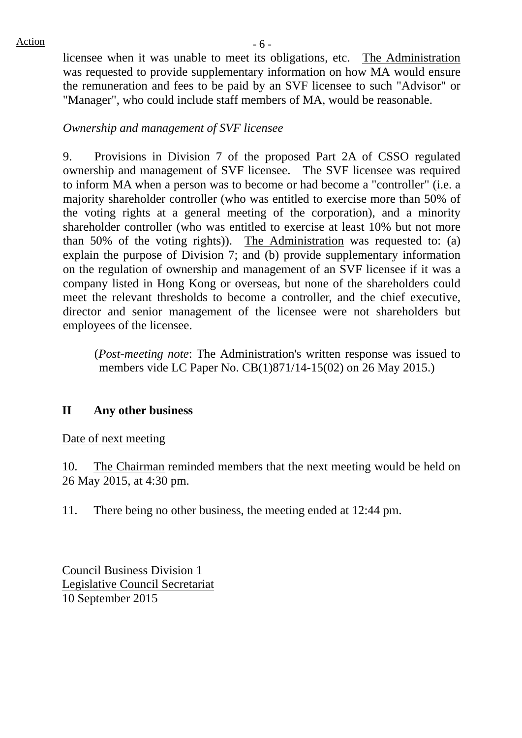licensee when it was unable to meet its obligations, etc. The Administration was requested to provide supplementary information on how MA would ensure the remuneration and fees to be paid by an SVF licensee to such "Advisor" or "Manager", who could include staff members of MA, would be reasonable.

### *Ownership and management of SVF licensee*

9. Provisions in Division 7 of the proposed Part 2A of CSSO regulated ownership and management of SVF licensee. The SVF licensee was required to inform MA when a person was to become or had become a "controller" (i.e. a majority shareholder controller (who was entitled to exercise more than 50% of the voting rights at a general meeting of the corporation), and a minority shareholder controller (who was entitled to exercise at least 10% but not more than 50% of the voting rights)). The Administration was requested to: (a) explain the purpose of Division 7; and (b) provide supplementary information on the regulation of ownership and management of an SVF licensee if it was a company listed in Hong Kong or overseas, but none of the shareholders could meet the relevant thresholds to become a controller, and the chief executive, director and senior management of the licensee were not shareholders but employees of the licensee.

(*Post-meeting note*: The Administration's written response was issued to members vide LC Paper No. CB(1)871/14-15(02) on 26 May 2015.)

### **II Any other business**

### Date of next meeting

10. The Chairman reminded members that the next meeting would be held on 26 May 2015, at 4:30 pm.

11. There being no other business, the meeting ended at 12:44 pm.

Council Business Division 1 Legislative Council Secretariat 10 September 2015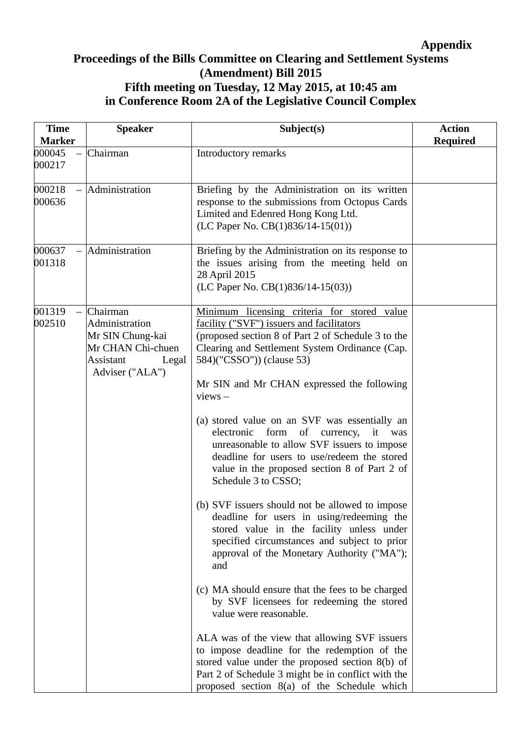## **Appendix**

### **Proceedings of the Bills Committee on Clearing and Settlement Systems (Amendment) Bill 2015 Fifth meeting on Tuesday, 12 May 2015, at 10:45 am in Conference Room 2A of the Legislative Council Complex**

| <b>Time</b>                         | <b>Speaker</b>                                                                                               | Subject(s)                                                                                                                                                                                                                                                      | <b>Action</b>   |
|-------------------------------------|--------------------------------------------------------------------------------------------------------------|-----------------------------------------------------------------------------------------------------------------------------------------------------------------------------------------------------------------------------------------------------------------|-----------------|
| <b>Marker</b><br>000045<br>$\equiv$ | Chairman                                                                                                     | Introductory remarks                                                                                                                                                                                                                                            | <b>Required</b> |
| 000217                              |                                                                                                              |                                                                                                                                                                                                                                                                 |                 |
| 000218<br>000636                    | $-$ Administration                                                                                           | Briefing by the Administration on its written<br>response to the submissions from Octopus Cards<br>Limited and Edenred Hong Kong Ltd.<br>(LC Paper No. $CB(1)836/14-15(01)$ )                                                                                   |                 |
| 000637<br>001318                    | Administration                                                                                               | Briefing by the Administration on its response to<br>the issues arising from the meeting held on<br>28 April 2015<br>(LC Paper No. $CB(1)836/14-15(03)$ )                                                                                                       |                 |
| 001319<br>002510                    | Chairman<br>Administration<br>Mr SIN Chung-kai<br>Mr CHAN Chi-chuen<br>Assistant<br>Legal<br>Adviser ("ALA") | Minimum licensing criteria for stored value<br>facility ("SVF") issuers and facilitators<br>(proposed section 8 of Part 2 of Schedule 3 to the<br>Clearing and Settlement System Ordinance (Cap.<br>584)("CSSO")) (clause 53)                                   |                 |
|                                     |                                                                                                              | Mr SIN and Mr CHAN expressed the following<br>$views -$                                                                                                                                                                                                         |                 |
|                                     |                                                                                                              | (a) stored value on an SVF was essentially an<br>form of currency,<br>electronic<br>it was<br>unreasonable to allow SVF issuers to impose<br>deadline for users to use/redeem the stored<br>value in the proposed section 8 of Part 2 of<br>Schedule 3 to CSSO; |                 |
|                                     |                                                                                                              | (b) SVF issuers should not be allowed to impose<br>deadline for users in using/redeeming the<br>stored value in the facility unless under<br>specified circumstances and subject to prior<br>approval of the Monetary Authority ("MA");<br>and                  |                 |
|                                     |                                                                                                              | (c) MA should ensure that the fees to be charged<br>by SVF licensees for redeeming the stored<br>value were reasonable.                                                                                                                                         |                 |
|                                     |                                                                                                              | ALA was of the view that allowing SVF issuers<br>to impose deadline for the redemption of the<br>stored value under the proposed section 8(b) of<br>Part 2 of Schedule 3 might be in conflict with the<br>proposed section $8(a)$ of the Schedule which         |                 |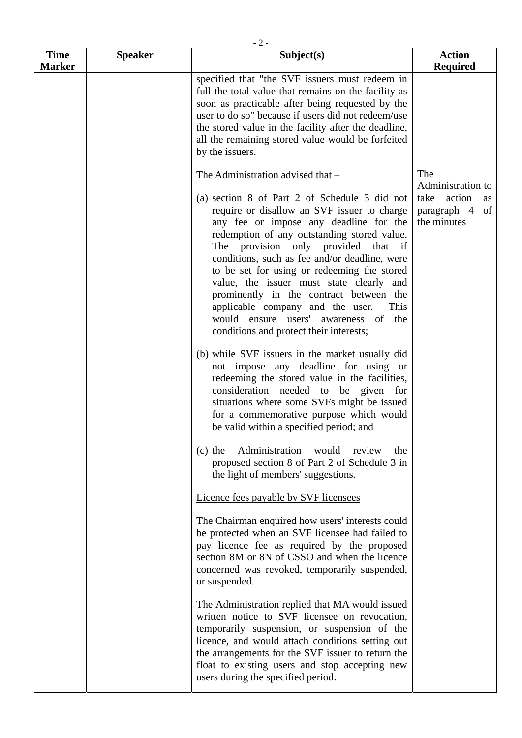| <b>Time</b>   | <b>Speaker</b> | $-2-$<br>Subject(s)                                                                                                                                                                                                                                                                                                                                                                                                                                                                                                                                                                     | <b>Action</b>                                                                     |
|---------------|----------------|-----------------------------------------------------------------------------------------------------------------------------------------------------------------------------------------------------------------------------------------------------------------------------------------------------------------------------------------------------------------------------------------------------------------------------------------------------------------------------------------------------------------------------------------------------------------------------------------|-----------------------------------------------------------------------------------|
| <b>Marker</b> |                |                                                                                                                                                                                                                                                                                                                                                                                                                                                                                                                                                                                         | <b>Required</b>                                                                   |
|               |                | specified that "the SVF issuers must redeem in<br>full the total value that remains on the facility as<br>soon as practicable after being requested by the<br>user to do so" because if users did not redeem/use<br>the stored value in the facility after the deadline,<br>all the remaining stored value would be forfeited<br>by the issuers.                                                                                                                                                                                                                                        |                                                                                   |
|               |                | The Administration advised that –<br>(a) section 8 of Part 2 of Schedule 3 did not<br>require or disallow an SVF issuer to charge<br>any fee or impose any deadline for the<br>redemption of any outstanding stored value.<br>The provision only provided that if<br>conditions, such as fee and/or deadline, were<br>to be set for using or redeeming the stored<br>value, the issuer must state clearly and<br>prominently in the contract between the<br>applicable company and the user.<br>This<br>would ensure users' awareness of the<br>conditions and protect their interests; | The<br>Administration to<br>take<br>action<br>as<br>paragraph 4 of<br>the minutes |
|               |                | (b) while SVF issuers in the market usually did<br>not impose any deadline for using or<br>redeeming the stored value in the facilities,<br>consideration needed to be given for<br>situations where some SVFs might be issued<br>for a commemorative purpose which would<br>be valid within a specified period; and                                                                                                                                                                                                                                                                    |                                                                                   |
|               |                | Administration would review<br>$(c)$ the<br>the<br>proposed section 8 of Part 2 of Schedule 3 in<br>the light of members' suggestions.<br>Licence fees payable by SVF licensees                                                                                                                                                                                                                                                                                                                                                                                                         |                                                                                   |
|               |                | The Chairman enquired how users' interests could<br>be protected when an SVF licensee had failed to<br>pay licence fee as required by the proposed<br>section 8M or 8N of CSSO and when the licence<br>concerned was revoked, temporarily suspended,<br>or suspended.                                                                                                                                                                                                                                                                                                                   |                                                                                   |
|               |                | The Administration replied that MA would issued<br>written notice to SVF licensee on revocation,<br>temporarily suspension, or suspension of the<br>licence, and would attach conditions setting out<br>the arrangements for the SVF issuer to return the<br>float to existing users and stop accepting new<br>users during the specified period.                                                                                                                                                                                                                                       |                                                                                   |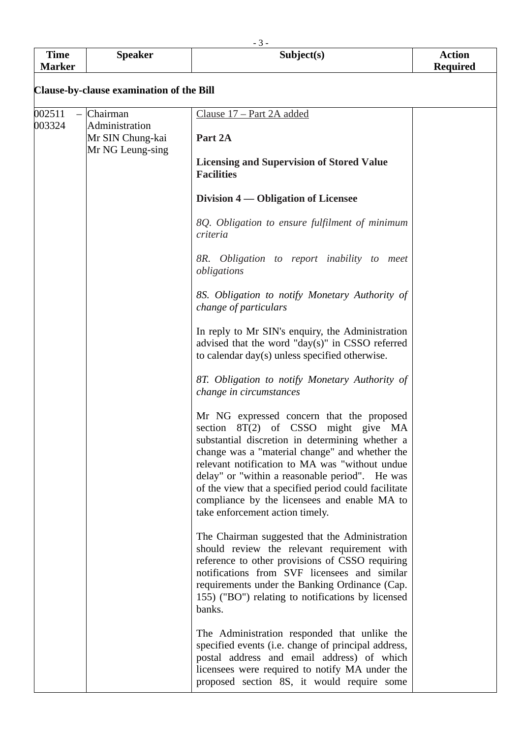| <b>Time</b><br><b>Marker</b> | <b>Speaker</b>                                         | $-3-$<br>Subject(s)                                                                                                                                                                                                                                                                                                                                                                                                                       | <b>Action</b><br><b>Required</b> |  |  |
|------------------------------|--------------------------------------------------------|-------------------------------------------------------------------------------------------------------------------------------------------------------------------------------------------------------------------------------------------------------------------------------------------------------------------------------------------------------------------------------------------------------------------------------------------|----------------------------------|--|--|
|                              | Clause-by-clause examination of the Bill               |                                                                                                                                                                                                                                                                                                                                                                                                                                           |                                  |  |  |
| 002511<br>$\equiv$           | Chairman                                               | Clause 17 – Part 2A added                                                                                                                                                                                                                                                                                                                                                                                                                 |                                  |  |  |
| 003324                       | Administration<br>Mr SIN Chung-kai<br>Mr NG Leung-sing | Part 2A                                                                                                                                                                                                                                                                                                                                                                                                                                   |                                  |  |  |
|                              |                                                        | <b>Licensing and Supervision of Stored Value</b><br><b>Facilities</b>                                                                                                                                                                                                                                                                                                                                                                     |                                  |  |  |
|                              |                                                        | Division 4 — Obligation of Licensee                                                                                                                                                                                                                                                                                                                                                                                                       |                                  |  |  |
|                              |                                                        | 8Q. Obligation to ensure fulfilment of minimum<br>criteria                                                                                                                                                                                                                                                                                                                                                                                |                                  |  |  |
|                              |                                                        | 8R. Obligation to report inability to meet<br>obligations                                                                                                                                                                                                                                                                                                                                                                                 |                                  |  |  |
|                              |                                                        | 8S. Obligation to notify Monetary Authority of<br>change of particulars                                                                                                                                                                                                                                                                                                                                                                   |                                  |  |  |
|                              |                                                        | In reply to Mr SIN's enquiry, the Administration<br>advised that the word " $day(s)$ " in CSSO referred<br>to calendar day(s) unless specified otherwise.                                                                                                                                                                                                                                                                                 |                                  |  |  |
|                              |                                                        | 8T. Obligation to notify Monetary Authority of<br>change in circumstances                                                                                                                                                                                                                                                                                                                                                                 |                                  |  |  |
|                              |                                                        | Mr NG expressed concern that the proposed<br>section $8T(2)$ of CSSO<br>might give MA<br>substantial discretion in determining whether a<br>change was a "material change" and whether the<br>relevant notification to MA was "without undue<br>delay" or "within a reasonable period". He was<br>of the view that a specified period could facilitate<br>compliance by the licensees and enable MA to<br>take enforcement action timely. |                                  |  |  |
|                              |                                                        | The Chairman suggested that the Administration<br>should review the relevant requirement with<br>reference to other provisions of CSSO requiring<br>notifications from SVF licensees and similar<br>requirements under the Banking Ordinance (Cap.<br>155) ("BO") relating to notifications by licensed<br>banks.                                                                                                                         |                                  |  |  |
|                              |                                                        | The Administration responded that unlike the<br>specified events (i.e. change of principal address,<br>postal address and email address) of which<br>licensees were required to notify MA under the<br>proposed section 8S, it would require some                                                                                                                                                                                         |                                  |  |  |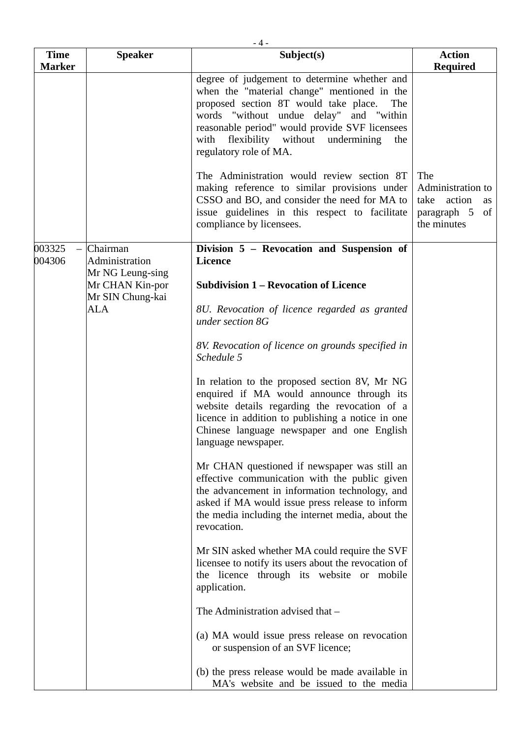|                  |                                                         | $-4-$                                                                                                                                                                                                                                                                                                                                                              |                                                                               |
|------------------|---------------------------------------------------------|--------------------------------------------------------------------------------------------------------------------------------------------------------------------------------------------------------------------------------------------------------------------------------------------------------------------------------------------------------------------|-------------------------------------------------------------------------------|
| <b>Time</b>      | <b>Speaker</b>                                          | Subject(s)                                                                                                                                                                                                                                                                                                                                                         | <b>Action</b>                                                                 |
| <b>Marker</b>    |                                                         | degree of judgement to determine whether and<br>when the "material change" mentioned in the<br>proposed section 8T would take place.<br>The<br>words "without undue delay" and "within<br>reasonable period" would provide SVF licensees<br>with flexibility without<br>undermining<br>the<br>regulatory role of MA.<br>The Administration would review section 8T | <b>Required</b><br>The                                                        |
|                  |                                                         | making reference to similar provisions under<br>CSSO and BO, and consider the need for MA to<br>issue guidelines in this respect to facilitate<br>compliance by licensees.                                                                                                                                                                                         | Administration to<br>take<br>action<br>as<br>of<br>paragraph 5<br>the minutes |
| 003325<br>004306 | Chairman<br>Administration                              | Division 5 - Revocation and Suspension of<br><b>Licence</b>                                                                                                                                                                                                                                                                                                        |                                                                               |
|                  | Mr NG Leung-sing<br>Mr CHAN Kin-por<br>Mr SIN Chung-kai | <b>Subdivision 1 – Revocation of Licence</b>                                                                                                                                                                                                                                                                                                                       |                                                                               |
|                  | ALA                                                     | 8U. Revocation of licence regarded as granted<br>under section 8G                                                                                                                                                                                                                                                                                                  |                                                                               |
|                  |                                                         | 8V. Revocation of licence on grounds specified in<br>Schedule 5                                                                                                                                                                                                                                                                                                    |                                                                               |
|                  |                                                         | In relation to the proposed section 8V, Mr NG<br>enquired if MA would announce through its<br>website details regarding the revocation of a<br>licence in addition to publishing a notice in one<br>Chinese language newspaper and one English<br>language newspaper.                                                                                              |                                                                               |
|                  |                                                         | Mr CHAN questioned if newspaper was still an<br>effective communication with the public given<br>the advancement in information technology, and<br>asked if MA would issue press release to inform<br>the media including the internet media, about the<br>revocation.                                                                                             |                                                                               |
|                  |                                                         | Mr SIN asked whether MA could require the SVF<br>licensee to notify its users about the revocation of<br>the licence through its website or mobile<br>application.                                                                                                                                                                                                 |                                                                               |
|                  |                                                         | The Administration advised that -                                                                                                                                                                                                                                                                                                                                  |                                                                               |
|                  |                                                         | (a) MA would issue press release on revocation<br>or suspension of an SVF licence;                                                                                                                                                                                                                                                                                 |                                                                               |
|                  |                                                         | (b) the press release would be made available in<br>MA's website and be issued to the media                                                                                                                                                                                                                                                                        |                                                                               |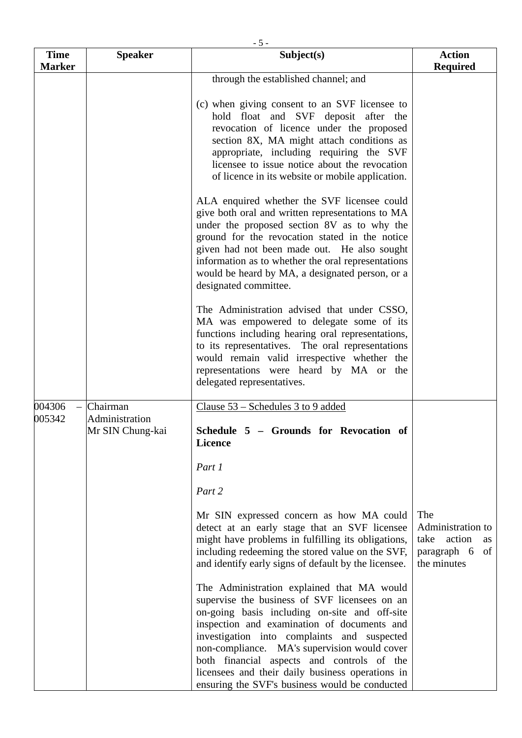| <b>Time</b>      | <b>Speaker</b>             | $-5-$<br>Subject(s)                                                                                                                                                                                                                                                                                                                                                                                                                            | <b>Action</b>                                                                        |
|------------------|----------------------------|------------------------------------------------------------------------------------------------------------------------------------------------------------------------------------------------------------------------------------------------------------------------------------------------------------------------------------------------------------------------------------------------------------------------------------------------|--------------------------------------------------------------------------------------|
| <b>Marker</b>    |                            |                                                                                                                                                                                                                                                                                                                                                                                                                                                | <b>Required</b>                                                                      |
|                  |                            | through the established channel; and                                                                                                                                                                                                                                                                                                                                                                                                           |                                                                                      |
|                  |                            | (c) when giving consent to an SVF licensee to<br>hold float and SVF deposit after the<br>revocation of licence under the proposed<br>section 8X, MA might attach conditions as<br>appropriate, including requiring the SVF<br>licensee to issue notice about the revocation<br>of licence in its website or mobile application.                                                                                                                |                                                                                      |
|                  |                            | ALA enquired whether the SVF licensee could<br>give both oral and written representations to MA<br>under the proposed section 8V as to why the<br>ground for the revocation stated in the notice<br>given had not been made out. He also sought<br>information as to whether the oral representations<br>would be heard by MA, a designated person, or a<br>designated committee.                                                              |                                                                                      |
|                  |                            | The Administration advised that under CSSO,<br>MA was empowered to delegate some of its<br>functions including hearing oral representations,<br>to its representatives. The oral representations<br>would remain valid irrespective whether the<br>representations were heard by MA or the<br>delegated representatives.                                                                                                                       |                                                                                      |
| 004306<br>005342 | Chairman<br>Administration | Clause 53 – Schedules 3 to 9 added                                                                                                                                                                                                                                                                                                                                                                                                             |                                                                                      |
|                  | Mr SIN Chung-kai           | Schedule 5 - Grounds for Revocation of<br><b>Licence</b>                                                                                                                                                                                                                                                                                                                                                                                       |                                                                                      |
|                  |                            | Part 1                                                                                                                                                                                                                                                                                                                                                                                                                                         |                                                                                      |
|                  |                            | Part 2                                                                                                                                                                                                                                                                                                                                                                                                                                         |                                                                                      |
|                  |                            | Mr SIN expressed concern as how MA could<br>detect at an early stage that an SVF licensee<br>might have problems in fulfilling its obligations,<br>including redeeming the stored value on the SVF,<br>and identify early signs of default by the licensee.                                                                                                                                                                                    | The<br>Administration to<br>take<br>action<br>as<br>paragraph 6<br>of<br>the minutes |
|                  |                            | The Administration explained that MA would<br>supervise the business of SVF licensees on an<br>on-going basis including on-site and off-site<br>inspection and examination of documents and<br>investigation into complaints and suspected<br>non-compliance. MA's supervision would cover<br>both financial aspects and controls of the<br>licensees and their daily business operations in<br>ensuring the SVF's business would be conducted |                                                                                      |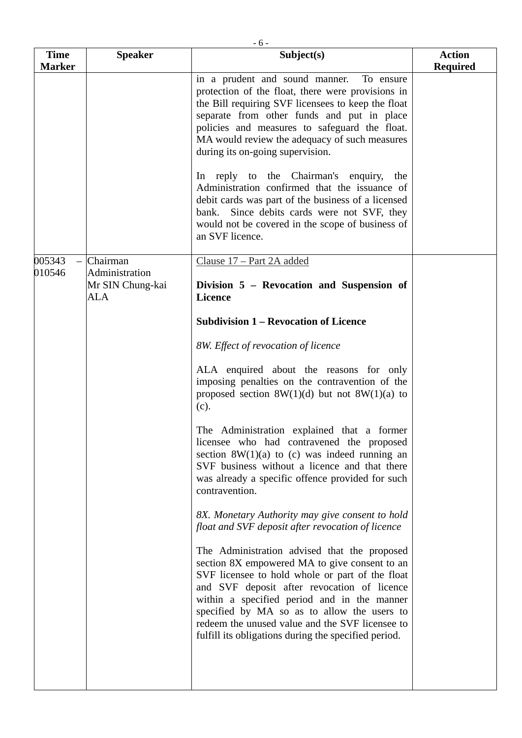|                              |                                                       | $-6-$                                                                                                                                                                                                                                                                                                                                                                                                                                                                                                                                                                                                              |                 |
|------------------------------|-------------------------------------------------------|--------------------------------------------------------------------------------------------------------------------------------------------------------------------------------------------------------------------------------------------------------------------------------------------------------------------------------------------------------------------------------------------------------------------------------------------------------------------------------------------------------------------------------------------------------------------------------------------------------------------|-----------------|
| <b>Time</b>                  | <b>Speaker</b>                                        | Subject(s)                                                                                                                                                                                                                                                                                                                                                                                                                                                                                                                                                                                                         | <b>Action</b>   |
| <b>Marker</b>                |                                                       | in a prudent and sound manner.<br>To ensure<br>protection of the float, there were provisions in<br>the Bill requiring SVF licensees to keep the float<br>separate from other funds and put in place<br>policies and measures to safeguard the float.<br>MA would review the adequacy of such measures<br>during its on-going supervision.<br>In reply to the Chairman's enquiry, the<br>Administration confirmed that the issuance of<br>debit cards was part of the business of a licensed<br>bank. Since debits cards were not SVF, they<br>would not be covered in the scope of business of<br>an SVF licence. | <b>Required</b> |
| 005343<br>$\equiv$<br>010546 | Chairman<br>Administration<br>Mr SIN Chung-kai<br>ALA | Clause 17 – Part 2A added<br>Division 5 – Revocation and Suspension of<br><b>Licence</b>                                                                                                                                                                                                                                                                                                                                                                                                                                                                                                                           |                 |
|                              |                                                       | <b>Subdivision 1 – Revocation of Licence</b>                                                                                                                                                                                                                                                                                                                                                                                                                                                                                                                                                                       |                 |
|                              |                                                       | 8W. Effect of revocation of licence                                                                                                                                                                                                                                                                                                                                                                                                                                                                                                                                                                                |                 |
|                              |                                                       | ALA enquired about the reasons for only<br>imposing penalties on the contravention of the<br>proposed section $8W(1)(d)$ but not $8W(1)(a)$ to<br>(c).                                                                                                                                                                                                                                                                                                                                                                                                                                                             |                 |
|                              |                                                       | The Administration explained that a former<br>licensee who had contravened the proposed<br>section $8W(1)(a)$ to (c) was indeed running an<br>SVF business without a licence and that there<br>was already a specific offence provided for such<br>contravention.                                                                                                                                                                                                                                                                                                                                                  |                 |
|                              |                                                       | 8X. Monetary Authority may give consent to hold<br>float and SVF deposit after revocation of licence                                                                                                                                                                                                                                                                                                                                                                                                                                                                                                               |                 |
|                              |                                                       | The Administration advised that the proposed<br>section 8X empowered MA to give consent to an<br>SVF licensee to hold whole or part of the float<br>and SVF deposit after revocation of licence<br>within a specified period and in the manner<br>specified by MA so as to allow the users to<br>redeem the unused value and the SVF licensee to<br>fulfill its obligations during the specified period.                                                                                                                                                                                                           |                 |
|                              |                                                       |                                                                                                                                                                                                                                                                                                                                                                                                                                                                                                                                                                                                                    |                 |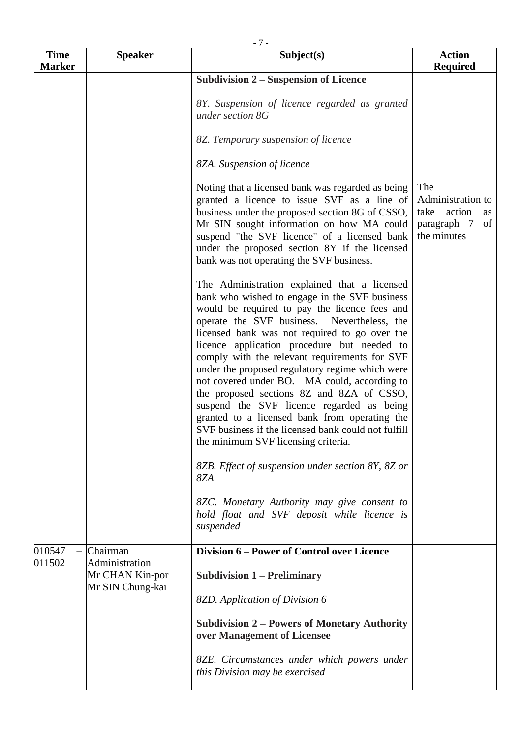| <b>Time</b>                  | <b>Speaker</b>             | Subject(s)                                                                                                                                                                                                                                                                                                                                                                                                                                                                                                                                                                                                                                                                                 | <b>Action</b>                                                                     |
|------------------------------|----------------------------|--------------------------------------------------------------------------------------------------------------------------------------------------------------------------------------------------------------------------------------------------------------------------------------------------------------------------------------------------------------------------------------------------------------------------------------------------------------------------------------------------------------------------------------------------------------------------------------------------------------------------------------------------------------------------------------------|-----------------------------------------------------------------------------------|
| <b>Marker</b>                |                            | <b>Subdivision 2 – Suspension of Licence</b>                                                                                                                                                                                                                                                                                                                                                                                                                                                                                                                                                                                                                                               | <b>Required</b>                                                                   |
|                              |                            | 8Y. Suspension of licence regarded as granted<br>under section 8G                                                                                                                                                                                                                                                                                                                                                                                                                                                                                                                                                                                                                          |                                                                                   |
|                              |                            | 8Z. Temporary suspension of licence                                                                                                                                                                                                                                                                                                                                                                                                                                                                                                                                                                                                                                                        |                                                                                   |
|                              |                            | 8ZA. Suspension of licence                                                                                                                                                                                                                                                                                                                                                                                                                                                                                                                                                                                                                                                                 |                                                                                   |
|                              |                            | Noting that a licensed bank was regarded as being<br>granted a licence to issue SVF as a line of<br>business under the proposed section 8G of CSSO,<br>Mr SIN sought information on how MA could<br>suspend "the SVF licence" of a licensed bank<br>under the proposed section 8Y if the licensed<br>bank was not operating the SVF business.                                                                                                                                                                                                                                                                                                                                              | The<br>Administration to<br>take action<br>as<br>paragraph 7<br>of<br>the minutes |
|                              |                            | The Administration explained that a licensed<br>bank who wished to engage in the SVF business<br>would be required to pay the licence fees and<br>operate the SVF business. Nevertheless, the<br>licensed bank was not required to go over the<br>licence application procedure but needed to<br>comply with the relevant requirements for SVF<br>under the proposed regulatory regime which were<br>not covered under BO. MA could, according to<br>the proposed sections 8Z and 8ZA of CSSO,<br>suspend the SVF licence regarded as being<br>granted to a licensed bank from operating the<br>SVF business if the licensed bank could not fulfill<br>the minimum SVF licensing criteria. |                                                                                   |
|                              |                            | 8ZB. Effect of suspension under section 8Y, 8Z or<br>8ZA                                                                                                                                                                                                                                                                                                                                                                                                                                                                                                                                                                                                                                   |                                                                                   |
|                              |                            | 8ZC. Monetary Authority may give consent to<br>hold float and SVF deposit while licence is<br>suspended                                                                                                                                                                                                                                                                                                                                                                                                                                                                                                                                                                                    |                                                                                   |
| 010547<br>$\equiv$<br>011502 | Chairman<br>Administration | Division 6 – Power of Control over Licence                                                                                                                                                                                                                                                                                                                                                                                                                                                                                                                                                                                                                                                 |                                                                                   |
|                              | Mr CHAN Kin-por            | <b>Subdivision 1 – Preliminary</b>                                                                                                                                                                                                                                                                                                                                                                                                                                                                                                                                                                                                                                                         |                                                                                   |
|                              | Mr SIN Chung-kai           | 8ZD. Application of Division 6                                                                                                                                                                                                                                                                                                                                                                                                                                                                                                                                                                                                                                                             |                                                                                   |
|                              |                            | <b>Subdivision 2 – Powers of Monetary Authority</b><br>over Management of Licensee                                                                                                                                                                                                                                                                                                                                                                                                                                                                                                                                                                                                         |                                                                                   |
|                              |                            | 8ZE. Circumstances under which powers under<br>this Division may be exercised                                                                                                                                                                                                                                                                                                                                                                                                                                                                                                                                                                                                              |                                                                                   |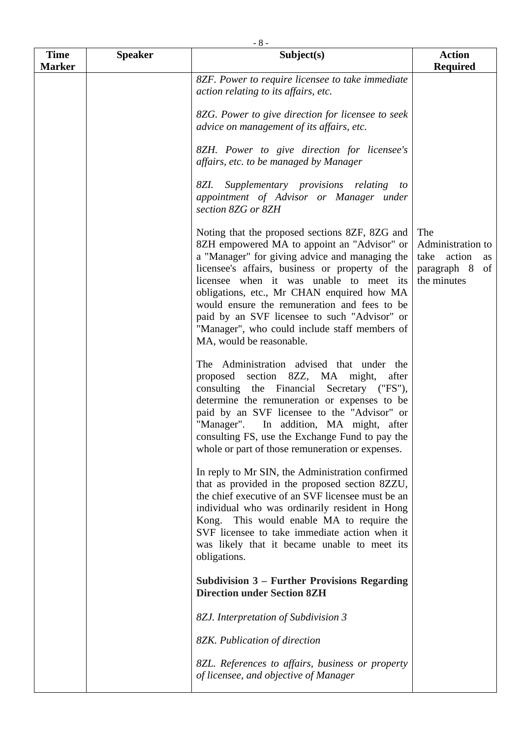| <b>Time</b><br><b>Marker</b> | <b>Speaker</b> | Subject(s)                                                                                                                                                                                                                                                                                                                                                                                                                                                               | <b>Action</b><br><b>Required</b>                                               |
|------------------------------|----------------|--------------------------------------------------------------------------------------------------------------------------------------------------------------------------------------------------------------------------------------------------------------------------------------------------------------------------------------------------------------------------------------------------------------------------------------------------------------------------|--------------------------------------------------------------------------------|
|                              |                | 8ZF. Power to require licensee to take immediate<br>action relating to its affairs, etc.                                                                                                                                                                                                                                                                                                                                                                                 |                                                                                |
|                              |                | 8ZG. Power to give direction for licensee to seek<br>advice on management of its affairs, etc.                                                                                                                                                                                                                                                                                                                                                                           |                                                                                |
|                              |                | 8ZH. Power to give direction for licensee's<br>affairs, etc. to be managed by Manager                                                                                                                                                                                                                                                                                                                                                                                    |                                                                                |
|                              |                | Supplementary provisions relating<br>8ZI.<br>to<br>appointment of Advisor or Manager under<br>section 8ZG or 8ZH                                                                                                                                                                                                                                                                                                                                                         |                                                                                |
|                              |                | Noting that the proposed sections 8ZF, 8ZG and<br>8ZH empowered MA to appoint an "Advisor" or<br>a "Manager" for giving advice and managing the<br>licensee's affairs, business or property of the<br>licensee when it was unable to meet its<br>obligations, etc., Mr CHAN enquired how MA<br>would ensure the remuneration and fees to be<br>paid by an SVF licensee to such "Advisor" or<br>"Manager", who could include staff members of<br>MA, would be reasonable. | The<br>Administration to<br>take action<br>as<br>paragraph 8 of<br>the minutes |
|                              |                | The Administration advised that under the<br>proposed section 8ZZ, MA might,<br>after<br>consulting the Financial Secretary ("FS"),<br>determine the remuneration or expenses to be<br>paid by an SVF licensee to the "Advisor" or<br>"Manager". In addition, MA might, after<br>consulting FS, use the Exchange Fund to pay the<br>whole or part of those remuneration or expenses.                                                                                     |                                                                                |
|                              |                | In reply to Mr SIN, the Administration confirmed<br>that as provided in the proposed section 8ZZU,<br>the chief executive of an SVF licensee must be an<br>individual who was ordinarily resident in Hong<br>Kong. This would enable MA to require the<br>SVF licensee to take immediate action when it<br>was likely that it became unable to meet its<br>obligations.                                                                                                  |                                                                                |
|                              |                | Subdivision $3$ – Further Provisions Regarding<br><b>Direction under Section 8ZH</b>                                                                                                                                                                                                                                                                                                                                                                                     |                                                                                |
|                              |                | 8ZJ. Interpretation of Subdivision 3                                                                                                                                                                                                                                                                                                                                                                                                                                     |                                                                                |
|                              |                | 8ZK. Publication of direction                                                                                                                                                                                                                                                                                                                                                                                                                                            |                                                                                |
|                              |                | 8ZL. References to affairs, business or property<br>of licensee, and objective of Manager                                                                                                                                                                                                                                                                                                                                                                                |                                                                                |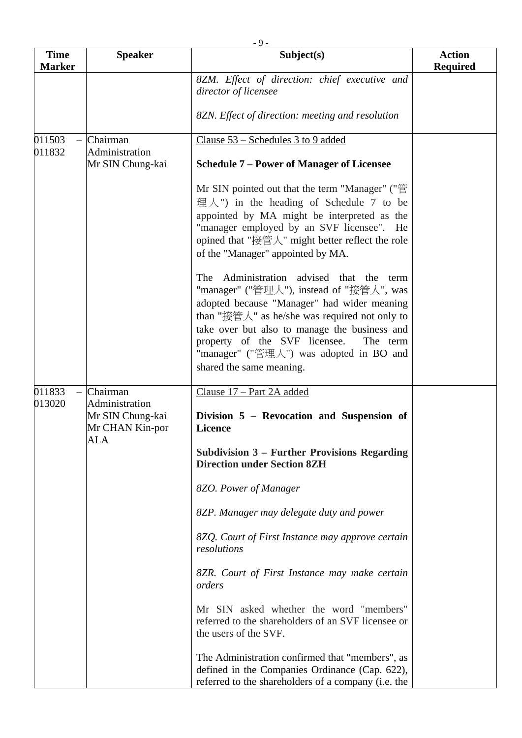|                              |                                                                     | $-9-$                                                                                                                                                                                                                                                                                                                                                        |                                  |
|------------------------------|---------------------------------------------------------------------|--------------------------------------------------------------------------------------------------------------------------------------------------------------------------------------------------------------------------------------------------------------------------------------------------------------------------------------------------------------|----------------------------------|
| <b>Time</b><br><b>Marker</b> | <b>Speaker</b>                                                      | Subject(s)                                                                                                                                                                                                                                                                                                                                                   | <b>Action</b><br><b>Required</b> |
|                              |                                                                     | 8ZM. Effect of direction: chief executive and<br>director of licensee<br>8ZN. Effect of direction: meeting and resolution                                                                                                                                                                                                                                    |                                  |
|                              |                                                                     |                                                                                                                                                                                                                                                                                                                                                              |                                  |
| 011503<br>011832             | Chairman<br>Administration<br>Mr SIN Chung-kai                      | Clause 53 – Schedules 3 to 9 added<br><b>Schedule 7 – Power of Manager of Licensee</b>                                                                                                                                                                                                                                                                       |                                  |
|                              |                                                                     | Mr SIN pointed out that the term "Manager" ("管<br>$\mathbb{H} \setminus \mathbb{R}$ in the heading of Schedule 7 to be<br>appointed by MA might be interpreted as the<br>"manager employed by an SVF licensee". He<br>opined that "接管人" might better reflect the role<br>of the "Manager" appointed by MA.                                                   |                                  |
|                              |                                                                     | Administration advised that the term<br>The<br>"manager" ("管理人"), instead of "接管人", was<br>adopted because "Manager" had wider meaning<br>than "接管人" as he/she was required not only to<br>take over but also to manage the business and<br>property of the SVF licensee.<br>The term<br>"manager" ("管理人") was adopted in BO and<br>shared the same meaning. |                                  |
| 011833                       | Chairman                                                            | Clause 17 - Part 2A added                                                                                                                                                                                                                                                                                                                                    |                                  |
| 013020                       | Administration<br>Mr SIN Chung-kai<br>Mr CHAN Kin-por<br><b>ALA</b> | Division 5 - Revocation and Suspension of<br><b>Licence</b>                                                                                                                                                                                                                                                                                                  |                                  |
|                              |                                                                     | <b>Subdivision 3 – Further Provisions Regarding</b><br><b>Direction under Section 8ZH</b>                                                                                                                                                                                                                                                                    |                                  |
|                              |                                                                     | 8ZO. Power of Manager                                                                                                                                                                                                                                                                                                                                        |                                  |
|                              |                                                                     | 8ZP. Manager may delegate duty and power                                                                                                                                                                                                                                                                                                                     |                                  |
|                              |                                                                     | 8ZQ. Court of First Instance may approve certain<br>resolutions                                                                                                                                                                                                                                                                                              |                                  |
|                              |                                                                     | 8ZR. Court of First Instance may make certain<br>orders                                                                                                                                                                                                                                                                                                      |                                  |
|                              |                                                                     | Mr SIN asked whether the word "members"<br>referred to the shareholders of an SVF licensee or<br>the users of the SVF.                                                                                                                                                                                                                                       |                                  |
|                              |                                                                     | The Administration confirmed that "members", as<br>defined in the Companies Ordinance (Cap. 622),<br>referred to the shareholders of a company (i.e. the                                                                                                                                                                                                     |                                  |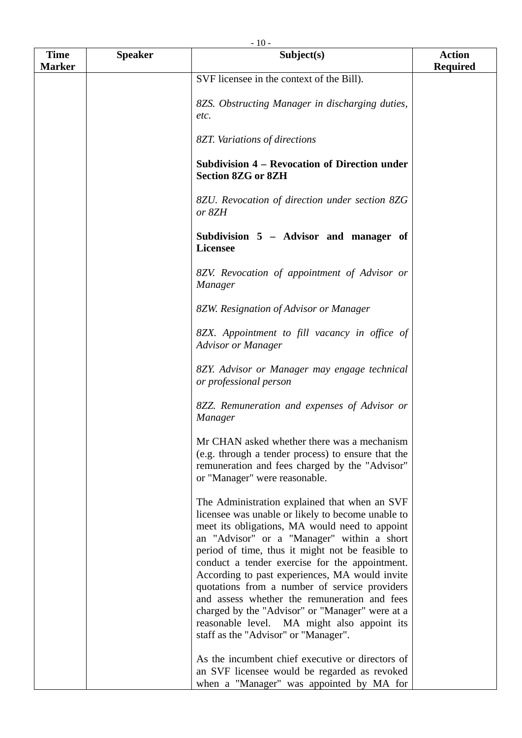| <b>Time</b>   | <b>Speaker</b> | Subject(s)                                                                                                                                                                                                                                                                                                                                                                                                                                                                                                                                                                                               | <b>Action</b>   |
|---------------|----------------|----------------------------------------------------------------------------------------------------------------------------------------------------------------------------------------------------------------------------------------------------------------------------------------------------------------------------------------------------------------------------------------------------------------------------------------------------------------------------------------------------------------------------------------------------------------------------------------------------------|-----------------|
| <b>Marker</b> |                | SVF licensee in the context of the Bill).                                                                                                                                                                                                                                                                                                                                                                                                                                                                                                                                                                | <b>Required</b> |
|               |                | 8ZS. Obstructing Manager in discharging duties,<br>etc.                                                                                                                                                                                                                                                                                                                                                                                                                                                                                                                                                  |                 |
|               |                | 8ZT. Variations of directions                                                                                                                                                                                                                                                                                                                                                                                                                                                                                                                                                                            |                 |
|               |                | <b>Subdivision 4 – Revocation of Direction under</b><br><b>Section 8ZG or 8ZH</b>                                                                                                                                                                                                                                                                                                                                                                                                                                                                                                                        |                 |
|               |                | 8ZU. Revocation of direction under section 8ZG<br>or 8ZH                                                                                                                                                                                                                                                                                                                                                                                                                                                                                                                                                 |                 |
|               |                | Subdivision 5 – Advisor and manager of<br><b>Licensee</b>                                                                                                                                                                                                                                                                                                                                                                                                                                                                                                                                                |                 |
|               |                | 8ZV. Revocation of appointment of Advisor or<br><i>Manager</i>                                                                                                                                                                                                                                                                                                                                                                                                                                                                                                                                           |                 |
|               |                | 8ZW. Resignation of Advisor or Manager                                                                                                                                                                                                                                                                                                                                                                                                                                                                                                                                                                   |                 |
|               |                | 8ZX. Appointment to fill vacancy in office of<br><b>Advisor or Manager</b>                                                                                                                                                                                                                                                                                                                                                                                                                                                                                                                               |                 |
|               |                | 8ZY. Advisor or Manager may engage technical<br>or professional person                                                                                                                                                                                                                                                                                                                                                                                                                                                                                                                                   |                 |
|               |                | 8ZZ. Remuneration and expenses of Advisor or<br><i>Manager</i>                                                                                                                                                                                                                                                                                                                                                                                                                                                                                                                                           |                 |
|               |                | Mr CHAN asked whether there was a mechanism<br>(e.g. through a tender process) to ensure that the<br>remuneration and fees charged by the "Advisor"<br>or "Manager" were reasonable.                                                                                                                                                                                                                                                                                                                                                                                                                     |                 |
|               |                | The Administration explained that when an SVF<br>licensee was unable or likely to become unable to<br>meet its obligations, MA would need to appoint<br>an "Advisor" or a "Manager" within a short<br>period of time, thus it might not be feasible to<br>conduct a tender exercise for the appointment.<br>According to past experiences, MA would invite<br>quotations from a number of service providers<br>and assess whether the remuneration and fees<br>charged by the "Advisor" or "Manager" were at a<br>reasonable level.<br>MA might also appoint its<br>staff as the "Advisor" or "Manager". |                 |
|               |                | As the incumbent chief executive or directors of<br>an SVF licensee would be regarded as revoked<br>when a "Manager" was appointed by MA for                                                                                                                                                                                                                                                                                                                                                                                                                                                             |                 |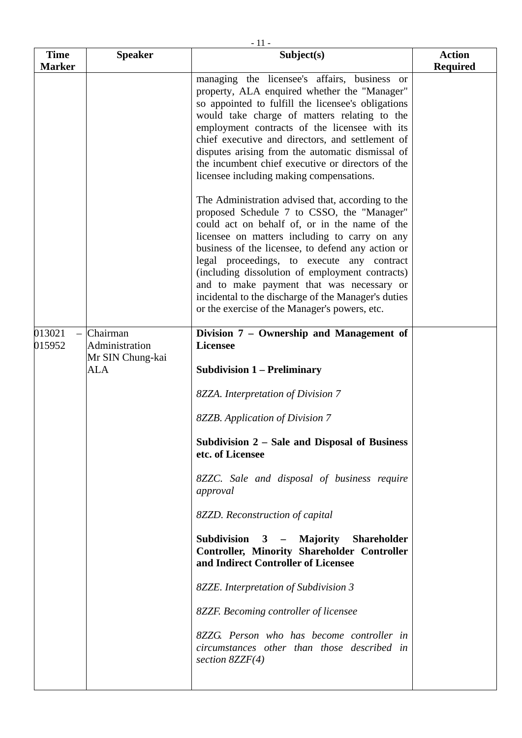|               | $-11-$                             |                                                                                                                                                                                                                                                                                                                                                                                                                                                                                                              |                 |  |
|---------------|------------------------------------|--------------------------------------------------------------------------------------------------------------------------------------------------------------------------------------------------------------------------------------------------------------------------------------------------------------------------------------------------------------------------------------------------------------------------------------------------------------------------------------------------------------|-----------------|--|
| <b>Time</b>   | <b>Speaker</b>                     | Subject(s)                                                                                                                                                                                                                                                                                                                                                                                                                                                                                                   | <b>Action</b>   |  |
| <b>Marker</b> |                                    |                                                                                                                                                                                                                                                                                                                                                                                                                                                                                                              | <b>Required</b> |  |
|               |                                    | managing the licensee's affairs, business or<br>property, ALA enquired whether the "Manager"<br>so appointed to fulfill the licensee's obligations<br>would take charge of matters relating to the<br>employment contracts of the licensee with its<br>chief executive and directors, and settlement of<br>disputes arising from the automatic dismissal of<br>the incumbent chief executive or directors of the<br>licensee including making compensations.                                                 |                 |  |
|               |                                    | The Administration advised that, according to the<br>proposed Schedule 7 to CSSO, the "Manager"<br>could act on behalf of, or in the name of the<br>licensee on matters including to carry on any<br>business of the licensee, to defend any action or<br>legal proceedings, to execute any contract<br>(including dissolution of employment contracts)<br>and to make payment that was necessary or<br>incidental to the discharge of the Manager's duties<br>or the exercise of the Manager's powers, etc. |                 |  |
| 013021        | Chairman                           | Division 7 – Ownership and Management of                                                                                                                                                                                                                                                                                                                                                                                                                                                                     |                 |  |
| 015952        | Administration<br>Mr SIN Chung-kai | <b>Licensee</b>                                                                                                                                                                                                                                                                                                                                                                                                                                                                                              |                 |  |
|               | ALA                                | <b>Subdivision 1 – Preliminary</b>                                                                                                                                                                                                                                                                                                                                                                                                                                                                           |                 |  |
|               |                                    | 8ZZA. Interpretation of Division 7                                                                                                                                                                                                                                                                                                                                                                                                                                                                           |                 |  |
|               |                                    | 8ZZB. Application of Division 7                                                                                                                                                                                                                                                                                                                                                                                                                                                                              |                 |  |
|               |                                    | Subdivision 2 – Sale and Disposal of Business<br>etc. of Licensee                                                                                                                                                                                                                                                                                                                                                                                                                                            |                 |  |
|               |                                    | 8ZZC. Sale and disposal of business require<br>approval                                                                                                                                                                                                                                                                                                                                                                                                                                                      |                 |  |
|               |                                    | 8ZZD. Reconstruction of capital                                                                                                                                                                                                                                                                                                                                                                                                                                                                              |                 |  |
|               |                                    | Subdivision $3 -$ Majority<br><b>Shareholder</b><br>Controller, Minority Shareholder Controller<br>and Indirect Controller of Licensee                                                                                                                                                                                                                                                                                                                                                                       |                 |  |
|               |                                    | 8ZZE. Interpretation of Subdivision 3                                                                                                                                                                                                                                                                                                                                                                                                                                                                        |                 |  |
|               |                                    | 8ZZF. Becoming controller of licensee                                                                                                                                                                                                                                                                                                                                                                                                                                                                        |                 |  |
|               |                                    | 8ZZG. Person who has become controller in<br>circumstances other than those described in<br>section $8ZZF(4)$                                                                                                                                                                                                                                                                                                                                                                                                |                 |  |
|               |                                    |                                                                                                                                                                                                                                                                                                                                                                                                                                                                                                              |                 |  |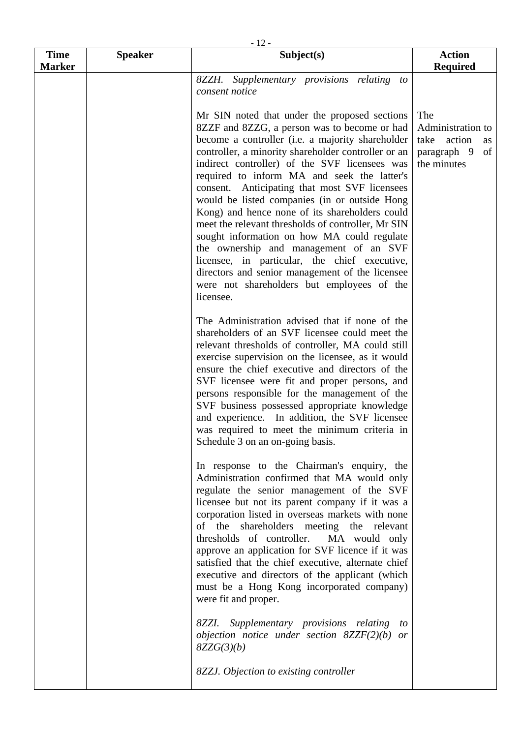|                              |                | $-12-$                                                                                                                                                                                                                                                                                                                                                                                                                                                                                                                                                                                                                                                                                                                                                                     |                                                                                      |
|------------------------------|----------------|----------------------------------------------------------------------------------------------------------------------------------------------------------------------------------------------------------------------------------------------------------------------------------------------------------------------------------------------------------------------------------------------------------------------------------------------------------------------------------------------------------------------------------------------------------------------------------------------------------------------------------------------------------------------------------------------------------------------------------------------------------------------------|--------------------------------------------------------------------------------------|
| <b>Time</b><br><b>Marker</b> | <b>Speaker</b> | Subject(s)                                                                                                                                                                                                                                                                                                                                                                                                                                                                                                                                                                                                                                                                                                                                                                 | <b>Action</b><br><b>Required</b>                                                     |
|                              |                | 8ZZH. Supplementary provisions relating to<br>consent notice                                                                                                                                                                                                                                                                                                                                                                                                                                                                                                                                                                                                                                                                                                               |                                                                                      |
|                              |                | Mr SIN noted that under the proposed sections<br>8ZZF and 8ZZG, a person was to become or had<br>become a controller (i.e. a majority shareholder<br>controller, a minority shareholder controller or an<br>indirect controller) of the SVF licensees was<br>required to inform MA and seek the latter's<br>consent. Anticipating that most SVF licensees<br>would be listed companies (in or outside Hong<br>Kong) and hence none of its shareholders could<br>meet the relevant thresholds of controller, Mr SIN<br>sought information on how MA could regulate<br>the ownership and management of an SVF<br>licensee, in particular, the chief executive,<br>directors and senior management of the licensee<br>were not shareholders but employees of the<br>licensee. | The<br>Administration to<br>take<br>action<br>as<br>paragraph 9<br>of<br>the minutes |
|                              |                | The Administration advised that if none of the<br>shareholders of an SVF licensee could meet the<br>relevant thresholds of controller, MA could still<br>exercise supervision on the licensee, as it would<br>ensure the chief executive and directors of the<br>SVF licensee were fit and proper persons, and<br>persons responsible for the management of the<br>SVF business possessed appropriate knowledge<br>and experience. In addition, the SVF licensee<br>was required to meet the minimum criteria in<br>Schedule 3 on an on-going basis.                                                                                                                                                                                                                       |                                                                                      |
|                              |                | In response to the Chairman's enquiry, the<br>Administration confirmed that MA would only<br>regulate the senior management of the SVF<br>licensee but not its parent company if it was a<br>corporation listed in overseas markets with none<br>of the shareholders meeting the relevant<br>thresholds of controller.<br>MA would only<br>approve an application for SVF licence if it was<br>satisfied that the chief executive, alternate chief<br>executive and directors of the applicant (which<br>must be a Hong Kong incorporated company)<br>were fit and proper.                                                                                                                                                                                                 |                                                                                      |
|                              |                | 8ZZI. Supplementary provisions relating<br>to<br>objection notice under section $8ZZF(2)(b)$ or<br>8ZZG(3)(b)<br>8ZZJ. Objection to existing controller                                                                                                                                                                                                                                                                                                                                                                                                                                                                                                                                                                                                                    |                                                                                      |
|                              |                |                                                                                                                                                                                                                                                                                                                                                                                                                                                                                                                                                                                                                                                                                                                                                                            |                                                                                      |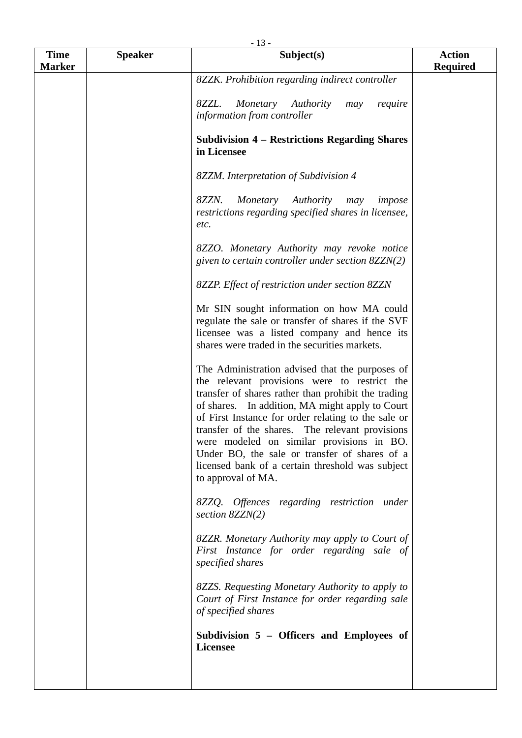| <b>Time</b>   | <b>Speaker</b> | Subject(s)                                                                                                                                                                                                                                                                                                                                                                                                                                                                                  | <b>Action</b>   |
|---------------|----------------|---------------------------------------------------------------------------------------------------------------------------------------------------------------------------------------------------------------------------------------------------------------------------------------------------------------------------------------------------------------------------------------------------------------------------------------------------------------------------------------------|-----------------|
| <b>Marker</b> |                | 8ZZK. Prohibition regarding indirect controller                                                                                                                                                                                                                                                                                                                                                                                                                                             | <b>Required</b> |
|               |                | 8ZZL.<br>Monetary Authority<br>require<br>may<br>information from controller                                                                                                                                                                                                                                                                                                                                                                                                                |                 |
|               |                | <b>Subdivision 4 – Restrictions Regarding Shares</b><br>in Licensee                                                                                                                                                                                                                                                                                                                                                                                                                         |                 |
|               |                | 8ZZM. Interpretation of Subdivision 4                                                                                                                                                                                                                                                                                                                                                                                                                                                       |                 |
|               |                | 8ZZN.<br>Monetary Authority<br>may<br>impose<br>restrictions regarding specified shares in licensee,<br>etc.                                                                                                                                                                                                                                                                                                                                                                                |                 |
|               |                | 8ZZO. Monetary Authority may revoke notice<br>given to certain controller under section 8ZZN(2)                                                                                                                                                                                                                                                                                                                                                                                             |                 |
|               |                | 8ZZP. Effect of restriction under section 8ZZN                                                                                                                                                                                                                                                                                                                                                                                                                                              |                 |
|               |                | Mr SIN sought information on how MA could<br>regulate the sale or transfer of shares if the SVF<br>licensee was a listed company and hence its<br>shares were traded in the securities markets.                                                                                                                                                                                                                                                                                             |                 |
|               |                | The Administration advised that the purposes of<br>the relevant provisions were to restrict the<br>transfer of shares rather than prohibit the trading<br>of shares. In addition, MA might apply to Court<br>of First Instance for order relating to the sale or<br>transfer of the shares. The relevant provisions<br>were modeled on similar provisions in BO.<br>Under BO, the sale or transfer of shares of a<br>licensed bank of a certain threshold was subject<br>to approval of MA. |                 |
|               |                | 8ZZQ. Offences regarding restriction under<br>section $8ZZN(2)$                                                                                                                                                                                                                                                                                                                                                                                                                             |                 |
|               |                | 8ZZR. Monetary Authority may apply to Court of<br>First Instance for order regarding sale of<br>specified shares                                                                                                                                                                                                                                                                                                                                                                            |                 |
|               |                | 8ZZS. Requesting Monetary Authority to apply to<br>Court of First Instance for order regarding sale<br>of specified shares                                                                                                                                                                                                                                                                                                                                                                  |                 |
|               |                | Subdivision 5 - Officers and Employees of<br><b>Licensee</b>                                                                                                                                                                                                                                                                                                                                                                                                                                |                 |
|               |                |                                                                                                                                                                                                                                                                                                                                                                                                                                                                                             |                 |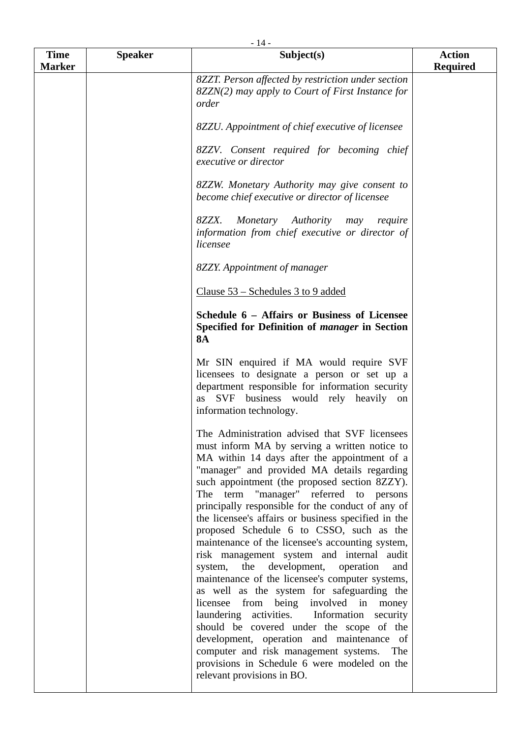| <b>Time</b>   | <b>Speaker</b> | Subject(s)                                                                                                                                                                                                                                                                                                                                                                                                                                                                                                                                                                                                                                                                                                                                                                                                                                                                                                                                                                                                                 | <b>Action</b>   |
|---------------|----------------|----------------------------------------------------------------------------------------------------------------------------------------------------------------------------------------------------------------------------------------------------------------------------------------------------------------------------------------------------------------------------------------------------------------------------------------------------------------------------------------------------------------------------------------------------------------------------------------------------------------------------------------------------------------------------------------------------------------------------------------------------------------------------------------------------------------------------------------------------------------------------------------------------------------------------------------------------------------------------------------------------------------------------|-----------------|
| <b>Marker</b> |                |                                                                                                                                                                                                                                                                                                                                                                                                                                                                                                                                                                                                                                                                                                                                                                                                                                                                                                                                                                                                                            | <b>Required</b> |
|               |                | 8ZZT. Person affected by restriction under section<br>8ZZN(2) may apply to Court of First Instance for<br>order                                                                                                                                                                                                                                                                                                                                                                                                                                                                                                                                                                                                                                                                                                                                                                                                                                                                                                            |                 |
|               |                | 8ZZU. Appointment of chief executive of licensee                                                                                                                                                                                                                                                                                                                                                                                                                                                                                                                                                                                                                                                                                                                                                                                                                                                                                                                                                                           |                 |
|               |                | 8ZZV. Consent required for becoming chief<br>executive or director                                                                                                                                                                                                                                                                                                                                                                                                                                                                                                                                                                                                                                                                                                                                                                                                                                                                                                                                                         |                 |
|               |                | 8ZZW. Monetary Authority may give consent to<br>become chief executive or director of licensee                                                                                                                                                                                                                                                                                                                                                                                                                                                                                                                                                                                                                                                                                                                                                                                                                                                                                                                             |                 |
|               |                | 8ZZX.<br>Monetary Authority<br>may<br>require<br>information from chief executive or director of<br>licensee                                                                                                                                                                                                                                                                                                                                                                                                                                                                                                                                                                                                                                                                                                                                                                                                                                                                                                               |                 |
|               |                | 8ZZY. Appointment of manager                                                                                                                                                                                                                                                                                                                                                                                                                                                                                                                                                                                                                                                                                                                                                                                                                                                                                                                                                                                               |                 |
|               |                | Clause 53 – Schedules 3 to 9 added                                                                                                                                                                                                                                                                                                                                                                                                                                                                                                                                                                                                                                                                                                                                                                                                                                                                                                                                                                                         |                 |
|               |                | Schedule 6 - Affairs or Business of Licensee<br>Specified for Definition of manager in Section<br><b>8A</b>                                                                                                                                                                                                                                                                                                                                                                                                                                                                                                                                                                                                                                                                                                                                                                                                                                                                                                                |                 |
|               |                | Mr SIN enquired if MA would require SVF<br>licensees to designate a person or set up a<br>department responsible for information security<br>as SVF business would rely heavily on<br>information technology.                                                                                                                                                                                                                                                                                                                                                                                                                                                                                                                                                                                                                                                                                                                                                                                                              |                 |
|               |                | The Administration advised that SVF licensees<br>must inform MA by serving a written notice to<br>MA within 14 days after the appointment of a<br>"manager" and provided MA details regarding<br>such appointment (the proposed section 8ZZY).<br>The term "manager" referred to persons<br>principally responsible for the conduct of any of<br>the licensee's affairs or business specified in the<br>proposed Schedule 6 to CSSO, such as the<br>maintenance of the licensee's accounting system,<br>risk management system and internal audit<br>development, operation<br>system,<br>the<br>and<br>maintenance of the licensee's computer systems,<br>as well as the system for safeguarding the<br>licensee from being involved in<br>money<br>laundering activities.<br>Information security<br>should be covered under the scope of the<br>development, operation and maintenance of<br>computer and risk management systems.<br>The<br>provisions in Schedule 6 were modeled on the<br>relevant provisions in BO. |                 |